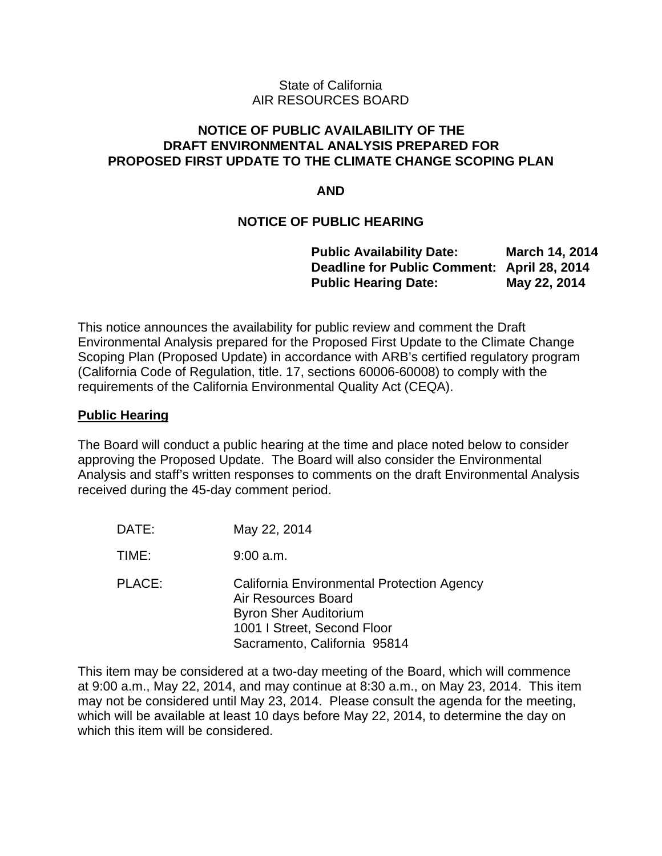### State of California AIR RESOURCES BOARD

### **NOTICE OF PUBLIC AVAILABILITY OF THE DRAFT ENVIRONMENTAL ANALYSIS PREPARED FOR PROPOSED FIRST UPDATE TO THE CLIMATE CHANGE SCOPING PLAN**

### **AND**

### **NOTICE OF PUBLIC HEARING**

| <b>Public Availability Date:</b>            | March 14, 2014 |
|---------------------------------------------|----------------|
| Deadline for Public Comment: April 28, 2014 |                |
| <b>Public Hearing Date:</b>                 | May 22, 2014   |

This notice announces the availability for public review and comment the Draft Environmental Analysis prepared for the Proposed First Update to the Climate Change Scoping Plan (Proposed Update) in accordance with ARB's certified regulatory program (California Code of Regulation, title. 17, sections 60006-60008) to comply with the requirements of the California Environmental Quality Act (CEQA).

### **Public Hearing**

The Board will conduct a public hearing at the time and place noted below to consider approving the Proposed Update. The Board will also consider the Environmental Analysis and staff's written responses to comments on the draft Environmental Analysis received during the 45-day comment period.

| DATE:  | May 22, 2014                                                                                                                                                     |
|--------|------------------------------------------------------------------------------------------------------------------------------------------------------------------|
| TIME:  | $9:00$ a.m.                                                                                                                                                      |
| PLACE: | California Environmental Protection Agency<br>Air Resources Board<br><b>Byron Sher Auditorium</b><br>1001 I Street, Second Floor<br>Sacramento, California 95814 |

This item may be considered at a two-day meeting of the Board, which will commence at 9:00 a.m., May 22, 2014, and may continue at 8:30 a.m., on May 23, 2014. This item may not be considered until May 23, 2014. Please consult the agenda for the meeting, which will be available at least 10 days before May 22, 2014, to determine the day on which this item will be considered.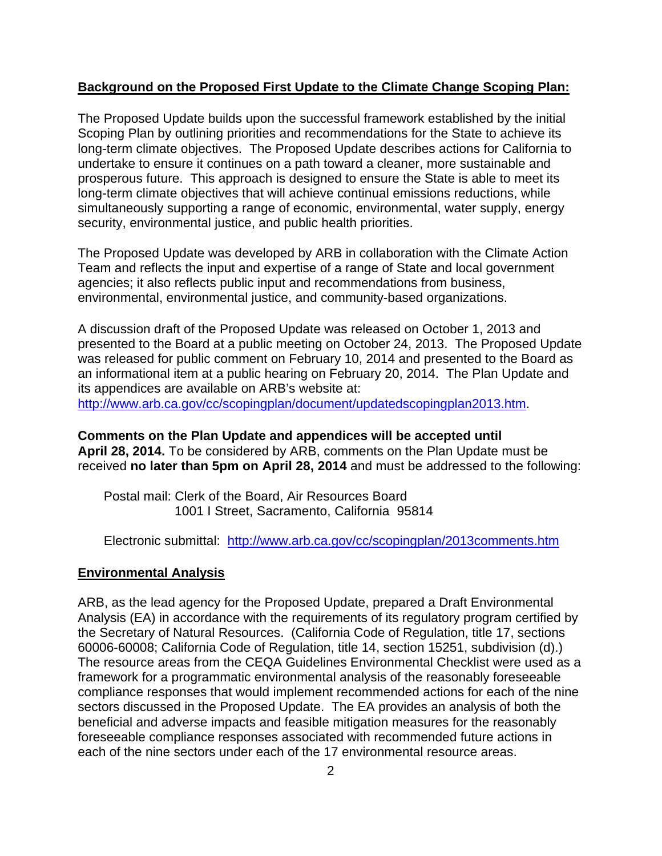### **Background on the Proposed First Update to the Climate Change Scoping Plan:**

The Proposed Update builds upon the successful framework established by the initial Scoping Plan by outlining priorities and recommendations for the State to achieve its long-term climate objectives. The Proposed Update describes actions for California to undertake to ensure it continues on a path toward a cleaner, more sustainable and prosperous future. This approach is designed to ensure the State is able to meet its long-term climate objectives that will achieve continual emissions reductions, while simultaneously supporting a range of economic, environmental, water supply, energy security, environmental justice, and public health priorities.

The Proposed Update was developed by ARB in collaboration with the Climate Action Team and reflects the input and expertise of a range of State and local government agencies; it also reflects public input and recommendations from business, environmental, environmental justice, and community-based organizations.

A discussion draft of the Proposed Update was released on October 1, 2013 and presented to the Board at a public meeting on October 24, 2013. The Proposed Update was released for public comment on February 10, 2014 and presented to the Board as an informational item at a public hearing on February 20, 2014. The Plan Update and its appendices are available on ARB's website at: [http://www.arb.ca.gov/cc/scopingplan/document/updatedscopingplan2013.htm.](http://www.arb.ca.gov/cc/scopingplan/document/updatedscopingplan2013.htm)

**Comments on the Plan Update and appendices will be accepted until April 28, 2014.** To be considered by ARB, comments on the Plan Update must be received **no later than 5pm on April 28, 2014** and must be addressed to the following:

Postal mail: Clerk of the Board, Air Resources Board 1001 I Street, Sacramento, California 95814

Electronic submittal: <http://www.arb.ca.gov/cc/scopingplan/2013comments.htm>

### **Environmental Analysis**

ARB, as the lead agency for the Proposed Update, prepared a Draft Environmental Analysis (EA) in accordance with the requirements of its regulatory program certified by the Secretary of Natural Resources. (California Code of Regulation, title 17, sections 60006-60008; California Code of Regulation, title 14, section 15251, subdivision (d).) The resource areas from the CEQA Guidelines Environmental Checklist were used as a framework for a programmatic environmental analysis of the reasonably foreseeable compliance responses that would implement recommended actions for each of the nine sectors discussed in the Proposed Update. The EA provides an analysis of both the beneficial and adverse impacts and feasible mitigation measures for the reasonably foreseeable compliance responses associated with recommended future actions in each of the nine sectors under each of the 17 environmental resource areas.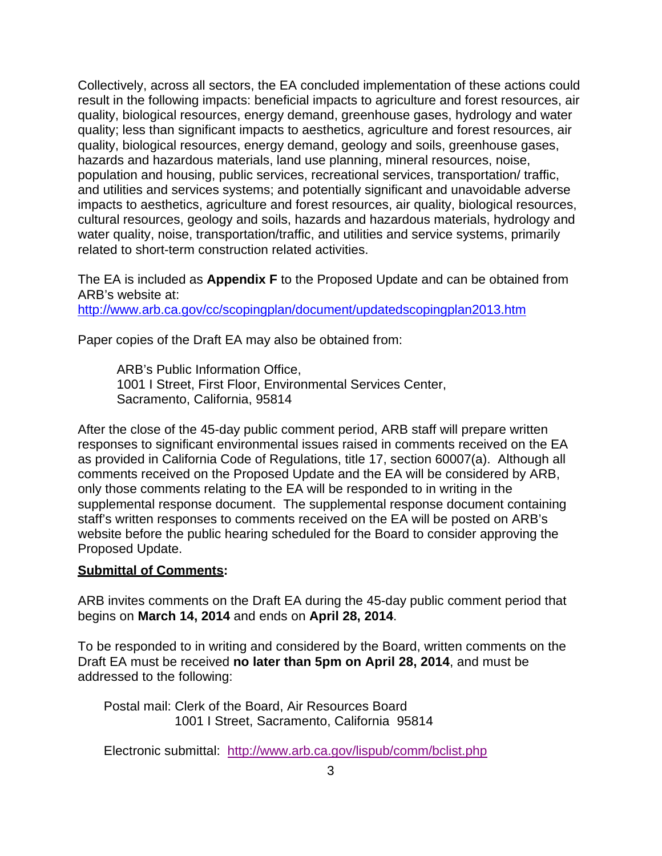Collectively, across all sectors, the EA concluded implementation of these actions could result in the following impacts: beneficial impacts to agriculture and forest resources, air quality, biological resources, energy demand, greenhouse gases, hydrology and water quality; less than significant impacts to aesthetics, agriculture and forest resources, air quality, biological resources, energy demand, geology and soils, greenhouse gases, hazards and hazardous materials, land use planning, mineral resources, noise, population and housing, public services, recreational services, transportation/ traffic, and utilities and services systems; and potentially significant and unavoidable adverse impacts to aesthetics, agriculture and forest resources, air quality, biological resources, cultural resources, geology and soils, hazards and hazardous materials, hydrology and water quality, noise, transportation/traffic, and utilities and service systems, primarily related to short-term construction related activities.

The EA is included as **Appendix F** to the Proposed Update and can be obtained from ARB's website at:

<http://www.arb.ca.gov/cc/scopingplan/document/updatedscopingplan2013.htm>

Paper copies of the Draft EA may also be obtained from:

ARB's Public Information Office, 1001 I Street, First Floor, Environmental Services Center, Sacramento, California, 95814

After the close of the 45-day public comment period, ARB staff will prepare written responses to significant environmental issues raised in comments received on the EA as provided in California Code of Regulations, title 17, section 60007(a). Although all comments received on the Proposed Update and the EA will be considered by ARB, only those comments relating to the EA will be responded to in writing in the supplemental response document. The supplemental response document containing staff's written responses to comments received on the EA will be posted on ARB's website before the public hearing scheduled for the Board to consider approving the Proposed Update.

### **Submittal of Comments:**

ARB invites comments on the Draft EA during the 45-day public comment period that begins on **March 14, 2014** and ends on **April 28, 2014**.

To be responded to in writing and considered by the Board, written comments on the Draft EA must be received **no later than 5pm on April 28, 2014**, and must be addressed to the following:

Postal mail: Clerk of the Board, Air Resources Board 1001 I Street, Sacramento, California 95814

Electronic submittal: <http://www.arb.ca.gov/lispub/comm/bclist.php>